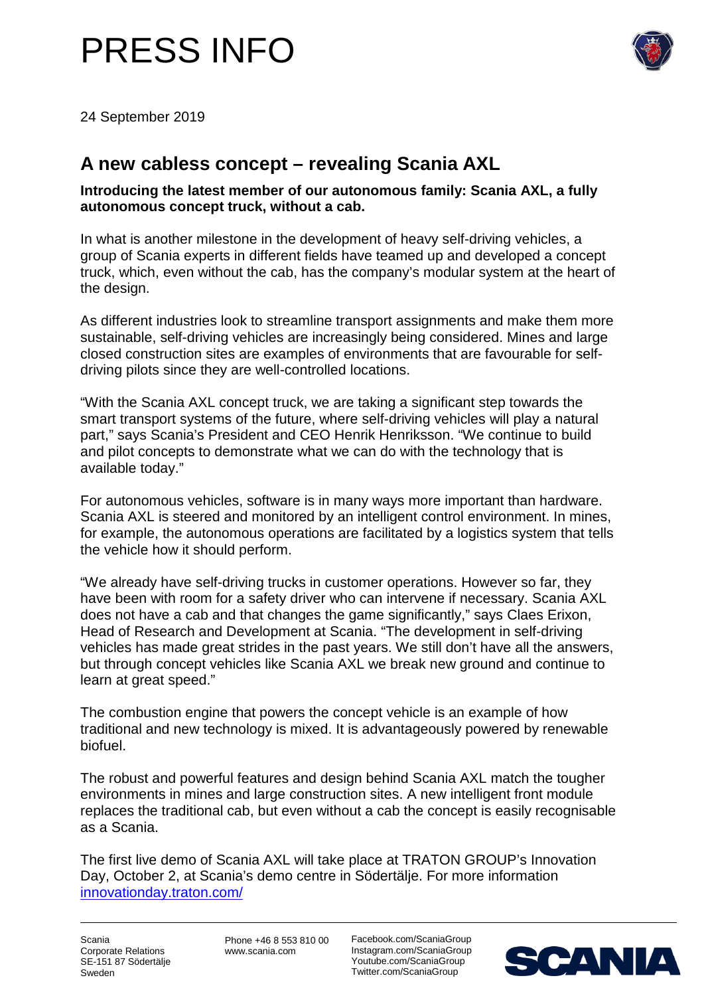



24 September 2019

## **A new cabless concept – revealing Scania AXL**

**Introducing the latest member of our autonomous family: Scania AXL, a fully autonomous concept truck, without a cab.** 

In what is another milestone in the development of heavy self-driving vehicles, a group of Scania experts in different fields have teamed up and developed a concept truck, which, even without the cab, has the company's modular system at the heart of the design.

As different industries look to streamline transport assignments and make them more sustainable, self-driving vehicles are increasingly being considered. Mines and large closed construction sites are examples of environments that are favourable for selfdriving pilots since they are well-controlled locations.

"With the Scania AXL concept truck, we are taking a significant step towards the smart transport systems of the future, where self-driving vehicles will play a natural part," says Scania's President and CEO Henrik Henriksson. "We continue to build and pilot concepts to demonstrate what we can do with the technology that is available today."

For autonomous vehicles, software is in many ways more important than hardware. Scania AXL is steered and monitored by an intelligent control environment. In mines, for example, the autonomous operations are facilitated by a logistics system that tells the vehicle how it should perform.

"We already have self-driving trucks in customer operations. However so far, they have been with room for a safety driver who can intervene if necessary. Scania AXL does not have a cab and that changes the game significantly," says Claes Erixon, Head of Research and Development at Scania. "The development in self-driving vehicles has made great strides in the past years. We still don't have all the answers, but through concept vehicles like Scania AXL we break new ground and continue to learn at great speed."

The combustion engine that powers the concept vehicle is an example of how traditional and new technology is mixed. It is advantageously powered by renewable biofuel.

The robust and powerful features and design behind Scania AXL match the tougher environments in mines and large construction sites. A new intelligent front module replaces the traditional cab, but even without a cab the concept is easily recognisable as a Scania.

The first live demo of Scania AXL will take place at TRATON GROUP's Innovation Day, October 2, at Scania's demo centre in Södertälje. For more information [innovationday.traton.com/](https://innovationday.traton.com/)

Scania Corporate Relations SE-151 87 Södertälje Sweden

Phone +46 8 553 810 00 www.scania.com

Facebook.com/ScaniaGroup Instagram.com/ScaniaGroup Youtube.com/ScaniaGroup Twitter.com/ScaniaGroup